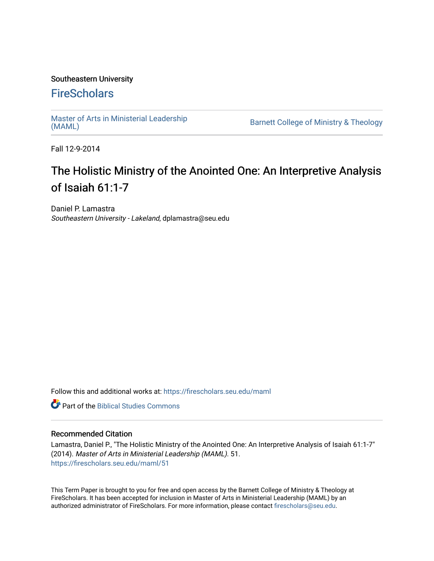# Southeastern University

# **FireScholars**

[Master of Arts in Ministerial Leadership](https://firescholars.seu.edu/maml)<br>(MAML)

Barnett College of Ministry & Theology

Fall 12-9-2014

# The Holistic Ministry of the Anointed One: An Interpretive Analysis of Isaiah 61:1-7

Daniel P. Lamastra Southeastern University - Lakeland, dplamastra@seu.edu

Follow this and additional works at: [https://firescholars.seu.edu/maml](https://firescholars.seu.edu/maml?utm_source=firescholars.seu.edu%2Fmaml%2F51&utm_medium=PDF&utm_campaign=PDFCoverPages) 

**C** Part of the Biblical Studies Commons

# Recommended Citation

Lamastra, Daniel P., "The Holistic Ministry of the Anointed One: An Interpretive Analysis of Isaiah 61:1-7" (2014). Master of Arts in Ministerial Leadership (MAML). 51. [https://firescholars.seu.edu/maml/51](https://firescholars.seu.edu/maml/51?utm_source=firescholars.seu.edu%2Fmaml%2F51&utm_medium=PDF&utm_campaign=PDFCoverPages) 

This Term Paper is brought to you for free and open access by the Barnett College of Ministry & Theology at FireScholars. It has been accepted for inclusion in Master of Arts in Ministerial Leadership (MAML) by an authorized administrator of FireScholars. For more information, please contact [firescholars@seu.edu.](mailto:firescholars@seu.edu)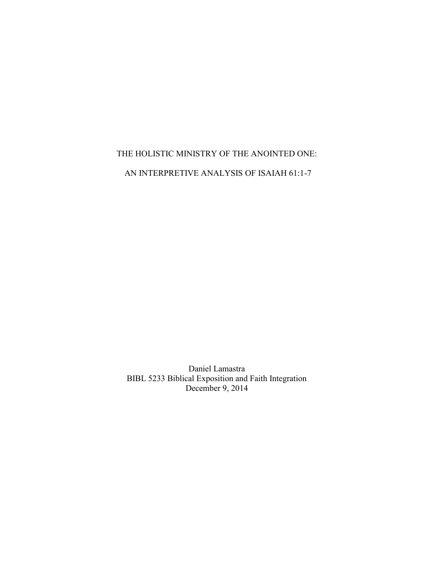# THE HOLISTIC MINISTRY OF THE ANOINTED ONE: AN INTERPRETIVE ANALYSIS OF ISAIAH 61:1-7

Daniel Lamastra BIBL 5233 Biblical Exposition and Faith Integration December 9, 2014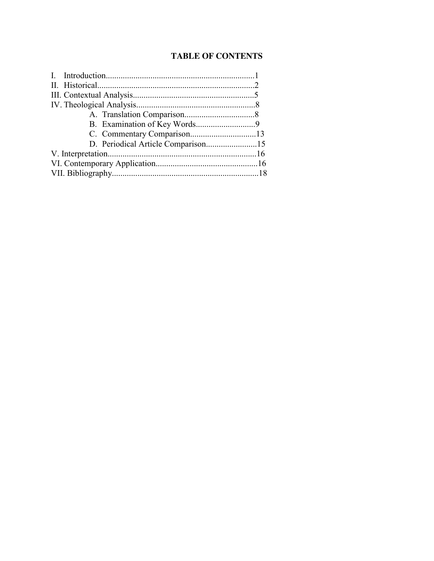# **TABLE OF CONTENTS**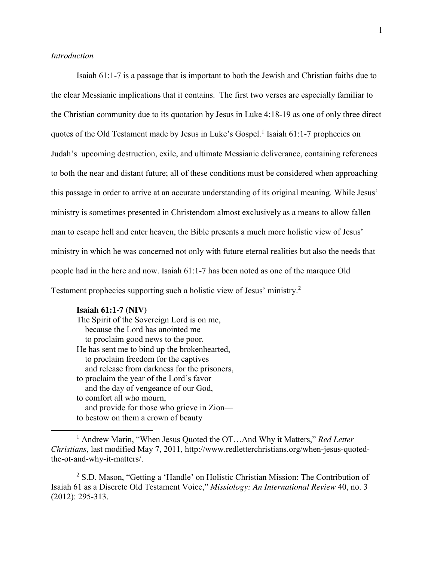### *Introduction*

Isaiah 61:1-7 is a passage that is important to both the Jewish and Christian faiths due to the clear Messianic implications that it contains. The first two verses are especially familiar to the Christian community due to its quotation by Jesus in Luke 4:18-19 as one of only three direct quotes of the Old Testament made by Jesus in Luke's Gospel.<sup>1</sup> Isaiah 61:1-7 prophecies on Judah's upcoming destruction, exile, and ultimate Messianic deliverance, containing references to both the near and distant future; all of these conditions must be considered when approaching this passage in order to arrive at an accurate understanding of its original meaning. While Jesus' ministry is sometimes presented in Christendom almost exclusively as a means to allow fallen man to escape hell and enter heaven, the Bible presents a much more holistic view of Jesus' ministry in which he was concerned not only with future eternal realities but also the needs that people had in the here and now. Isaiah 61:1-7 has been noted as one of the marquee Old Testament prophecies supporting such a holistic view of Jesus' ministry. 2

#### **Isaiah 61:1-7 (NIV)**

 $\overline{\phantom{a}}$ 

The Spirit of the Sovereign Lord is on me, because the Lord has anointed me to proclaim good news to the poor. He has sent me to bind up the brokenhearted, to proclaim freedom for the captives and release from darkness for the prisoners, to proclaim the year of the Lord's favor and the day of vengeance of our God, to comfort all who mourn, and provide for those who grieve in Zion to bestow on them a crown of beauty

<sup>1</sup> Andrew Marin, "When Jesus Quoted the OT…And Why it Matters," *Red Letter Christians*, last modified May 7, 2011, http://www.redletterchristians.org/when-jesus-quotedthe-ot-and-why-it-matters/.

<sup>2</sup> S.D. Mason, "Getting a 'Handle' on Holistic Christian Mission: The Contribution of Isaiah 61 as a Discrete Old Testament Voice," *Missiology: An International Review* 40, no. 3 (2012): 295-313.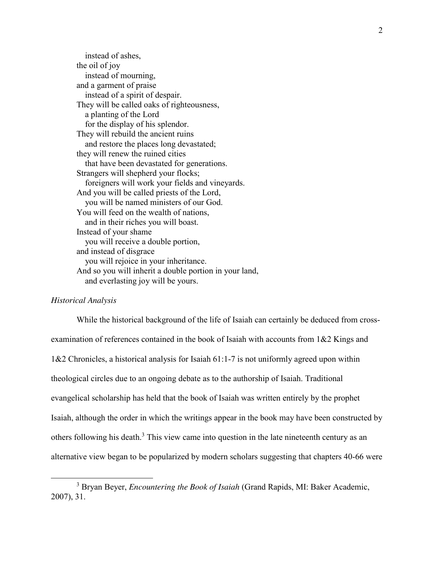instead of ashes, the oil of joy instead of mourning, and a garment of praise instead of a spirit of despair. They will be called oaks of righteousness, a planting of the Lord for the display of his splendor. They will rebuild the ancient ruins and restore the places long devastated; they will renew the ruined cities that have been devastated for generations. Strangers will shepherd your flocks; foreigners will work your fields and vineyards. And you will be called priests of the Lord, you will be named ministers of our God. You will feed on the wealth of nations, and in their riches you will boast. Instead of your shame you will receive a double portion, and instead of disgrace you will rejoice in your inheritance. And so you will inherit a double portion in your land, and everlasting joy will be yours.

# *Historical Analysis*

 $\overline{\phantom{a}}$ 

While the historical background of the life of Isaiah can certainly be deduced from crossexamination of references contained in the book of Isaiah with accounts from 1&2 Kings and 1&2 Chronicles, a historical analysis for Isaiah 61:1-7 is not uniformly agreed upon within theological circles due to an ongoing debate as to the authorship of Isaiah. Traditional evangelical scholarship has held that the book of Isaiah was written entirely by the prophet Isaiah, although the order in which the writings appear in the book may have been constructed by others following his death.<sup>3</sup> This view came into question in the late nineteenth century as an alternative view began to be popularized by modern scholars suggesting that chapters 40-66 were

<sup>3</sup> Bryan Beyer, *Encountering the Book of Isaiah* (Grand Rapids, MI: Baker Academic, 2007), 31.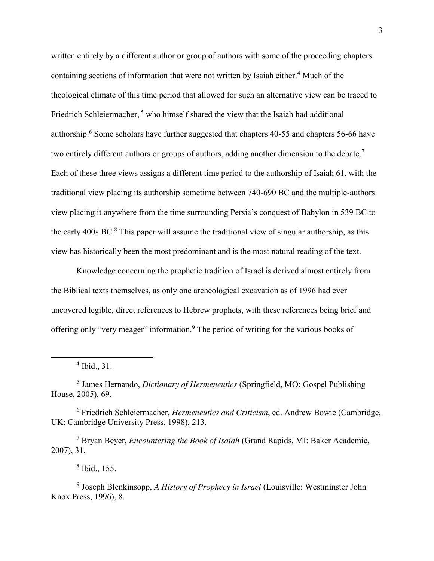written entirely by a different author or group of authors with some of the proceeding chapters containing sections of information that were not written by Isaiah either.<sup>4</sup> Much of the theological climate of this time period that allowed for such an alternative view can be traced to Friedrich Schleiermacher,<sup>5</sup> who himself shared the view that the Isaiah had additional authorship.<sup>6</sup> Some scholars have further suggested that chapters 40-55 and chapters 56-66 have two entirely different authors or groups of authors, adding another dimension to the debate.<sup>7</sup> Each of these three views assigns a different time period to the authorship of Isaiah 61, with the traditional view placing its authorship sometime between 740-690 BC and the multiple-authors view placing it anywhere from the time surrounding Persia's conquest of Babylon in 539 BC to the early 400s BC.<sup>8</sup> This paper will assume the traditional view of singular authorship, as this view has historically been the most predominant and is the most natural reading of the text.

Knowledge concerning the prophetic tradition of Israel is derived almost entirely from the Biblical texts themselves, as only one archeological excavation as of 1996 had ever uncovered legible, direct references to Hebrew prophets, with these references being brief and offering only "very meager" information.<sup>9</sup> The period of writing for the various books of

 $\overline{a}$ 

<sup>7</sup> Bryan Beyer, *Encountering the Book of Isaiah* (Grand Rapids, MI: Baker Academic, 2007), 31.

<sup>8</sup> Ibid., 155.

<sup>9</sup> Joseph Blenkinsopp, *A History of Prophecy in Israel* (Louisville: Westminster John Knox Press, 1996), 8.

 $4$  Ibid., 31.

<sup>5</sup> James Hernando, *Dictionary of Hermeneutics* (Springfield, MO: Gospel Publishing House, 2005), 69.

<sup>6</sup> Friedrich Schleiermacher, *Hermeneutics and Criticism*, ed. Andrew Bowie (Cambridge, UK: Cambridge University Press, 1998), 213.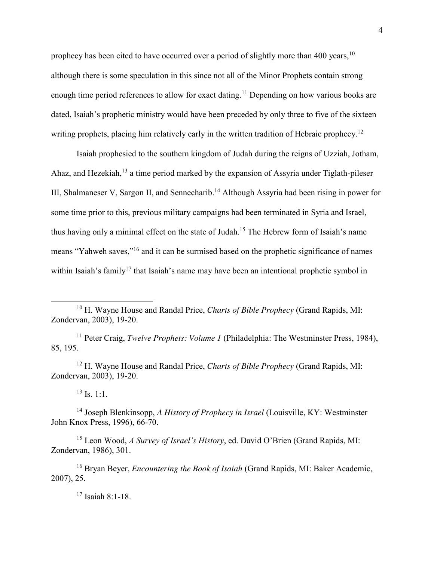prophecy has been cited to have occurred over a period of slightly more than 400 years.<sup>10</sup> although there is some speculation in this since not all of the Minor Prophets contain strong enough time period references to allow for exact dating.<sup>11</sup> Depending on how various books are dated, Isaiah's prophetic ministry would have been preceded by only three to five of the sixteen writing prophets, placing him relatively early in the written tradition of Hebraic prophecy.<sup>12</sup>

Isaiah prophesied to the southern kingdom of Judah during the reigns of Uzziah, Jotham, Ahaz, and Hezekiah,<sup>13</sup> a time period marked by the expansion of Assyria under Tiglath-pileser III, Shalmaneser V, Sargon II, and Sennecharib.<sup>14</sup> Although Assyria had been rising in power for some time prior to this, previous military campaigns had been terminated in Syria and Israel, thus having only a minimal effect on the state of Judah.<sup>15</sup> The Hebrew form of Isaiah's name means "Yahweh saves,"<sup>16</sup> and it can be surmised based on the prophetic significance of names within Isaiah's family<sup>17</sup> that Isaiah's name may have been an intentional prophetic symbol in

<sup>11</sup> Peter Craig, *Twelve Prophets: Volume 1* (Philadelphia: The Westminster Press, 1984), 85, 195.

<sup>12</sup> H. Wayne House and Randal Price, *Charts of Bible Prophecy* (Grand Rapids, MI: Zondervan, 2003), 19-20.

 $^{13}$  Is. 1:1.

 $\overline{a}$ 

<sup>14</sup> Joseph Blenkinsopp, *A History of Prophecy in Israel* (Louisville, KY: Westminster John Knox Press, 1996), 66-70.

<sup>15</sup> Leon Wood, *A Survey of Israel's History*, ed. David O'Brien (Grand Rapids, MI: Zondervan, 1986), 301.

<sup>16</sup> Bryan Beyer, *Encountering the Book of Isaiah* (Grand Rapids, MI: Baker Academic, 2007), 25.

<sup>17</sup> Isaiah 8:1-18.

<sup>10</sup> H. Wayne House and Randal Price, *Charts of Bible Prophecy* (Grand Rapids, MI: Zondervan, 2003), 19-20.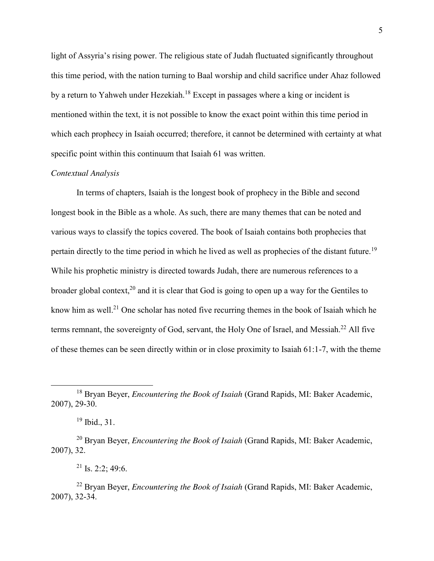light of Assyria's rising power. The religious state of Judah fluctuated significantly throughout this time period, with the nation turning to Baal worship and child sacrifice under Ahaz followed by a return to Yahweh under Hezekiah.<sup>18</sup> Except in passages where a king or incident is mentioned within the text, it is not possible to know the exact point within this time period in which each prophecy in Isaiah occurred; therefore, it cannot be determined with certainty at what specific point within this continuum that Isaiah 61 was written.

# *Contextual Analysis*

In terms of chapters, Isaiah is the longest book of prophecy in the Bible and second longest book in the Bible as a whole. As such, there are many themes that can be noted and various ways to classify the topics covered. The book of Isaiah contains both prophecies that pertain directly to the time period in which he lived as well as prophecies of the distant future.<sup>19</sup> While his prophetic ministry is directed towards Judah, there are numerous references to a broader global context,<sup>20</sup> and it is clear that God is going to open up a way for the Gentiles to know him as well.<sup>21</sup> One scholar has noted five recurring themes in the book of Isaiah which he terms remnant, the sovereignty of God, servant, the Holy One of Israel, and Messiah.<sup>22</sup> All five of these themes can be seen directly within or in close proximity to Isaiah 61:1-7, with the theme

 $\overline{\phantom{a}}$ 

<sup>18</sup> Bryan Beyer, *Encountering the Book of Isaiah* (Grand Rapids, MI: Baker Academic, 2007), 29-30.

<sup>19</sup> Ibid., 31.

<sup>20</sup> Bryan Beyer, *Encountering the Book of Isaiah* (Grand Rapids, MI: Baker Academic, 2007), 32.

<sup>&</sup>lt;sup>21</sup> Is. 2:2: 49:6.

<sup>22</sup> Bryan Beyer, *Encountering the Book of Isaiah* (Grand Rapids, MI: Baker Academic, 2007), 32-34.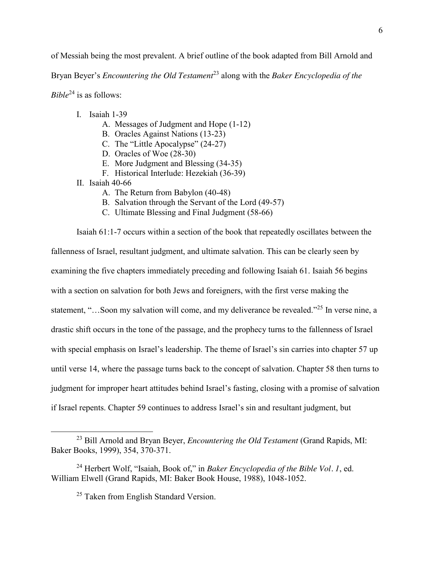of Messiah being the most prevalent. A brief outline of the book adapted from Bill Arnold and

Bryan Beyer's *Encountering the Old Testament* <sup>23</sup> along with the *Baker Encyclopedia of the* 

*Bible*<sup>24</sup> is as follows:

- I. Isaiah 1-39
	- A. Messages of Judgment and Hope (1-12)
	- B. Oracles Against Nations (13-23)
	- C. The "Little Apocalypse" (24-27)
	- D. Oracles of Woe (28-30)
	- E. More Judgment and Blessing (34-35)
	- F. Historical Interlude: Hezekiah (36-39)
- II. Isaiah 40-66

l

- A. The Return from Babylon (40-48)
- B. Salvation through the Servant of the Lord (49-57)
- C. Ultimate Blessing and Final Judgment (58-66)

Isaiah 61:1-7 occurs within a section of the book that repeatedly oscillates between the fallenness of Israel, resultant judgment, and ultimate salvation. This can be clearly seen by examining the five chapters immediately preceding and following Isaiah 61. Isaiah 56 begins with a section on salvation for both Jews and foreigners, with the first verse making the statement, "…Soon my salvation will come, and my deliverance be revealed."<sup>25</sup> In verse nine, a drastic shift occurs in the tone of the passage, and the prophecy turns to the fallenness of Israel with special emphasis on Israel's leadership. The theme of Israel's sin carries into chapter 57 up until verse 14, where the passage turns back to the concept of salvation. Chapter 58 then turns to judgment for improper heart attitudes behind Israel's fasting, closing with a promise of salvation if Israel repents. Chapter 59 continues to address Israel's sin and resultant judgment, but

<sup>23</sup> Bill Arnold and Bryan Beyer, *Encountering the Old Testament* (Grand Rapids, MI: Baker Books, 1999), 354, 370-371.

<sup>24</sup> Herbert Wolf, "Isaiah, Book of," in *Baker Encyclopedia of the Bible Vol. 1*, ed. William Elwell (Grand Rapids, MI: Baker Book House, 1988), 1048-1052.

<sup>&</sup>lt;sup>25</sup> Taken from English Standard Version.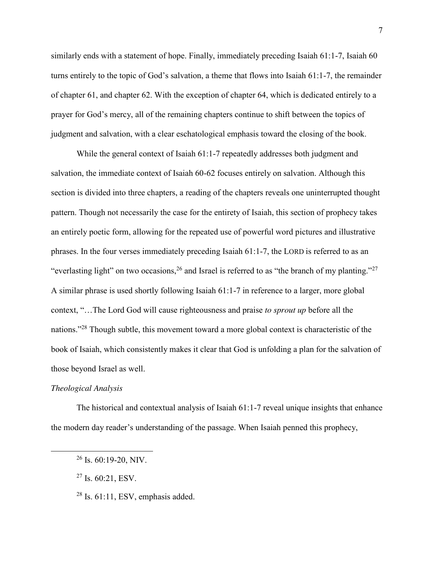similarly ends with a statement of hope. Finally, immediately preceding Isaiah 61:1-7, Isaiah 60 turns entirely to the topic of God's salvation, a theme that flows into Isaiah 61:1-7, the remainder of chapter 61, and chapter 62. With the exception of chapter 64, which is dedicated entirely to a prayer for God's mercy, all of the remaining chapters continue to shift between the topics of judgment and salvation, with a clear eschatological emphasis toward the closing of the book.

While the general context of Isaiah 61:1-7 repeatedly addresses both judgment and salvation, the immediate context of Isaiah 60-62 focuses entirely on salvation. Although this section is divided into three chapters, a reading of the chapters reveals one uninterrupted thought pattern. Though not necessarily the case for the entirety of Isaiah, this section of prophecy takes an entirely poetic form, allowing for the repeated use of powerful word pictures and illustrative phrases. In the four verses immediately preceding Isaiah 61:1-7, the LORD is referred to as an "everlasting light" on two occasions,  $^{26}$  and Israel is referred to as "the branch of my planting."<sup>27</sup> A similar phrase is used shortly following Isaiah 61:1-7 in reference to a larger, more global context, "…The Lord God will cause righteousness and praise *to sprout up* before all the nations."<sup>28</sup> Though subtle, this movement toward a more global context is characteristic of the book of Isaiah, which consistently makes it clear that God is unfolding a plan for the salvation of those beyond Israel as well.

# *Theological Analysis*

 $\overline{\phantom{a}}$ 

The historical and contextual analysis of Isaiah 61:1-7 reveal unique insights that enhance the modern day reader's understanding of the passage. When Isaiah penned this prophecy,

 $26$  Is. 60:19-20, NIV.

 $27$  Is. 60:21, ESV.

 $28$  Is. 61:11, ESV, emphasis added.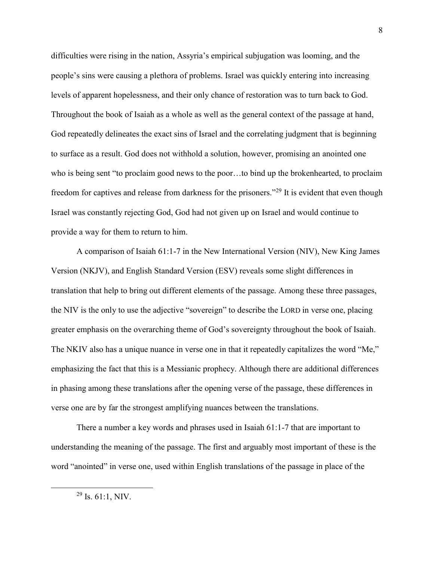difficulties were rising in the nation, Assyria's empirical subjugation was looming, and the people's sins were causing a plethora of problems. Israel was quickly entering into increasing levels of apparent hopelessness, and their only chance of restoration was to turn back to God. Throughout the book of Isaiah as a whole as well as the general context of the passage at hand, God repeatedly delineates the exact sins of Israel and the correlating judgment that is beginning to surface as a result. God does not withhold a solution, however, promising an anointed one who is being sent "to proclaim good news to the poor…to bind up the brokenhearted, to proclaim freedom for captives and release from darkness for the prisoners."<sup>29</sup> It is evident that even though Israel was constantly rejecting God, God had not given up on Israel and would continue to provide a way for them to return to him.

A comparison of Isaiah 61:1-7 in the New International Version (NIV), New King James Version (NKJV), and English Standard Version (ESV) reveals some slight differences in translation that help to bring out different elements of the passage. Among these three passages, the NIV is the only to use the adjective "sovereign" to describe the LORD in verse one, placing greater emphasis on the overarching theme of God's sovereignty throughout the book of Isaiah. The NKIV also has a unique nuance in verse one in that it repeatedly capitalizes the word "Me," emphasizing the fact that this is a Messianic prophecy. Although there are additional differences in phasing among these translations after the opening verse of the passage, these differences in verse one are by far the strongest amplifying nuances between the translations.

There a number a key words and phrases used in Isaiah 61:1-7 that are important to understanding the meaning of the passage. The first and arguably most important of these is the word "anointed" in verse one, used within English translations of the passage in place of the

 $\overline{\phantom{a}}$ 

 $29$  Is. 61:1, NIV.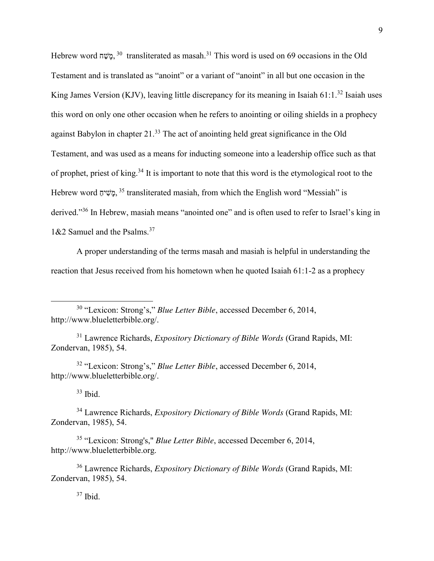Hebrew word משׁה <sup>30</sup> transliterated as masah.<sup>31</sup> This word is used on 69 occasions in the Old Testament and is translated as "anoint" or a variant of "anoint" in all but one occasion in the King James Version (KJV), leaving little discrepancy for its meaning in Isaiah 61:1.<sup>32</sup> Isaiah uses this word on only one other occasion when he refers to anointing or oiling shields in a prophecy against Babylon in chapter 21.<sup>33</sup> The act of anointing held great significance in the Old Testament, and was used as a means for inducting someone into a leadership office such as that of prophet, priest of king.<sup>34</sup> It is important to note that this word is the etymological root to the Hebrew word <sup>35</sup>, *מֻשׁי*ם<sup>35</sup>, transliterated masiah, from which the English word "Messiah" is derived."<sup>36</sup> In Hebrew, masiah means "anointed one" and is often used to refer to Israel's king in 1&2 Samuel and the Psalms.<sup>37</sup>

A proper understanding of the terms masah and masiah is helpful in understanding the reaction that Jesus received from his hometown when he quoted Isaiah 61:1-2 as a prophecy

<sup>30</sup> "Lexicon: Strong's," *Blue Letter Bible*, accessed December 6, 2014, http://www.blueletterbible.org/.

<sup>31</sup> Lawrence Richards, *Expository Dictionary of Bible Words* (Grand Rapids, MI: Zondervan, 1985), 54.

<sup>32</sup> "Lexicon: Strong's," *Blue Letter Bible*, accessed December 6, 2014, http://www.blueletterbible.org/.

 $33$  Ibid.

 $\overline{a}$ 

<sup>34</sup> Lawrence Richards, *Expository Dictionary of Bible Words* (Grand Rapids, MI: Zondervan, 1985), 54.

<sup>35</sup> "Lexicon: Strong's," *Blue Letter Bible*, accessed December 6, 2014, http://www.blueletterbible.org.

<sup>36</sup> Lawrence Richards, *Expository Dictionary of Bible Words* (Grand Rapids, MI: Zondervan, 1985), 54.

<sup>37</sup> Ibid.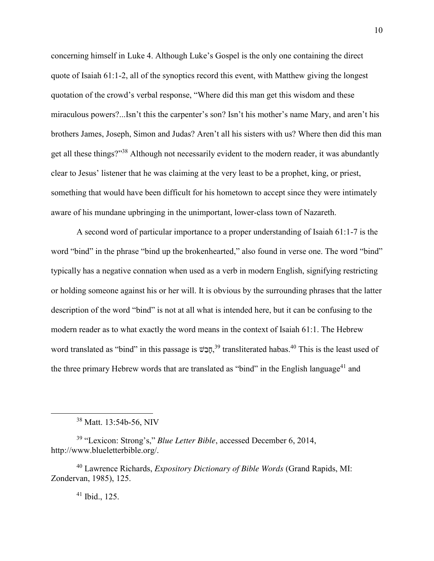concerning himself in Luke 4. Although Luke's Gospel is the only one containing the direct quote of Isaiah 61:1-2, all of the synoptics record this event, with Matthew giving the longest quotation of the crowd's verbal response, "Where did this man get this wisdom and these miraculous powers?...Isn't this the carpenter's son? Isn't his mother's name Mary, and aren't his brothers James, Joseph, Simon and Judas? Aren't all his sisters with us? Where then did this man get all these things?"<sup>38</sup> Although not necessarily evident to the modern reader, it was abundantly clear to Jesus' listener that he was claiming at the very least to be a prophet, king, or priest, something that would have been difficult for his hometown to accept since they were intimately aware of his mundane upbringing in the unimportant, lower-class town of Nazareth.

A second word of particular importance to a proper understanding of Isaiah 61:1-7 is the word "bind" in the phrase "bind up the brokenhearted," also found in verse one. The word "bind" typically has a negative connation when used as a verb in modern English, signifying restricting or holding someone against his or her will. It is obvious by the surrounding phrases that the latter description of the word "bind" is not at all what is intended here, but it can be confusing to the modern reader as to what exactly the word means in the context of Isaiah 61:1. The Hebrew word translated as "bind" in this passage is הָבָּשׁ, 39 transliterated habas.<sup>40</sup> This is the least used of the three primary Hebrew words that are translated as "bind" in the English language<sup>41</sup> and

l

<sup>38</sup> Matt. 13:54b-56, NIV

<sup>39</sup> "Lexicon: Strong's," *Blue Letter Bible*, accessed December 6, 2014, http://www.blueletterbible.org/.

<sup>40</sup> Lawrence Richards, *Expository Dictionary of Bible Words* (Grand Rapids, MI: Zondervan, 1985), 125.

<sup>41</sup> Ibid., 125.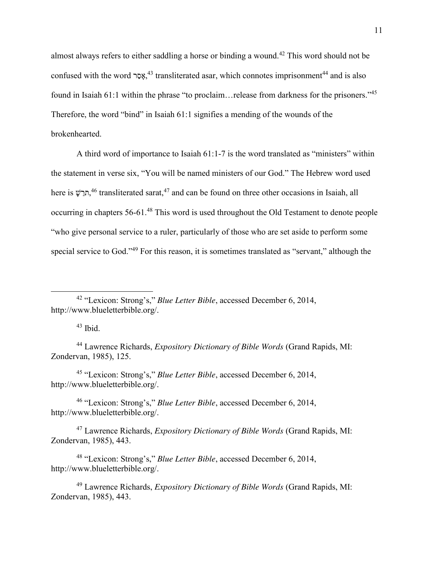almost always refers to either saddling a horse or binding a wound.<sup>42</sup> This word should not be confused with the word <sup>44</sup>, אָסָר, transliterated asar, which connotes imprisonment<sup>44</sup> and is also found in Isaiah 61:1 within the phrase "to proclaim... release from darkness for the prisoners."<sup>45</sup> Therefore, the word "bind" in Isaiah 61:1 signifies a mending of the wounds of the brokenhearted.

A third word of importance to Isaiah 61:1-7 is the word translated as "ministers" within the statement in verse six, "You will be named ministers of our God." The Hebrew word used here is חֲרָשָׁ,<sup>46</sup> transliterated sarat,<sup>47</sup> and can be found on three other occasions in Isaiah, all occurring in chapters 56-61.<sup>48</sup> This word is used throughout the Old Testament to denote people "who give personal service to a ruler, particularly of those who are set aside to perform some special service to God."<sup>49</sup> For this reason, it is sometimes translated as "servant," although the

 $\overline{a}$ 

<sup>44</sup> Lawrence Richards, *Expository Dictionary of Bible Words* (Grand Rapids, MI: Zondervan, 1985), 125.

<sup>45</sup> "Lexicon: Strong's," *Blue Letter Bible*, accessed December 6, 2014, http://www.blueletterbible.org/.

<sup>46</sup> "Lexicon: Strong's," *Blue Letter Bible*, accessed December 6, 2014, http://www.blueletterbible.org/.

<sup>47</sup> Lawrence Richards, *Expository Dictionary of Bible Words* (Grand Rapids, MI: Zondervan, 1985), 443.

<sup>48</sup> "Lexicon: Strong's," *Blue Letter Bible*, accessed December 6, 2014, http://www.blueletterbible.org/.

<sup>49</sup> Lawrence Richards, *Expository Dictionary of Bible Words* (Grand Rapids, MI: Zondervan, 1985), 443.

<sup>42</sup> "Lexicon: Strong's," *Blue Letter Bible*, accessed December 6, 2014, http://www.blueletterbible.org/.

 $43$  Ibid.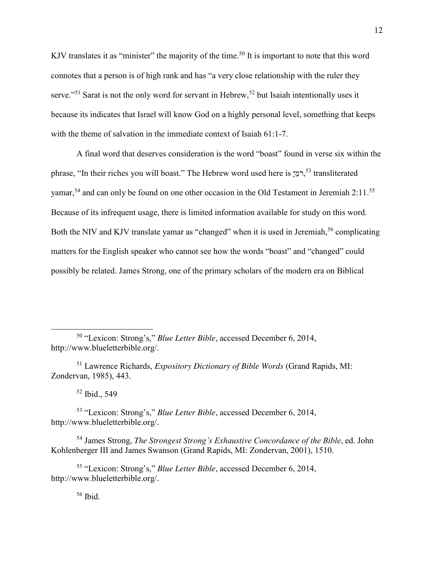KJV translates it as "minister" the majority of the time.<sup>50</sup> It is important to note that this word connotes that a person is of high rank and has "a very close relationship with the ruler they serve."<sup>51</sup> Sarat is not the only word for servant in Hebrew,<sup>52</sup> but Isaiah intentionally uses it because its indicates that Israel will know God on a highly personal level, something that keeps with the theme of salvation in the immediate context of Isaiah 61:1-7.

A final word that deserves consideration is the word "boast" found in verse six within the phrase, "In their riches you will boast." The Hebrew word used here is רְמַיְ 53 transliterated yamar,<sup>54</sup> and can only be found on one other occasion in the Old Testament in Jeremiah 2:11.<sup>55</sup> Because of its infrequent usage, there is limited information available for study on this word. Both the NIV and KJV translate yamar as "changed" when it is used in Jeremiah,<sup>56</sup> complicating matters for the English speaker who cannot see how the words "boast" and "changed" could possibly be related. James Strong, one of the primary scholars of the modern era on Biblical

 $52$  Ibid., 549

 $\overline{\phantom{a}}$ 

<sup>53</sup> "Lexicon: Strong's," *Blue Letter Bible*, accessed December 6, 2014, http://www.blueletterbible.org/.

<sup>54</sup> James Strong, *The Strongest Strong's Exhaustive Concordance of the Bible*, ed. John Kohlenberger III and James Swanson (Grand Rapids, MI: Zondervan, 2001), 1510.

<sup>55</sup> "Lexicon: Strong's," *Blue Letter Bible*, accessed December 6, 2014, http://www.blueletterbible.org/.

<sup>56</sup> Ibid.

<sup>50</sup> "Lexicon: Strong's," *Blue Letter Bible*, accessed December 6, 2014, http://www.blueletterbible.org/.

<sup>51</sup> Lawrence Richards, *Expository Dictionary of Bible Words* (Grand Rapids, MI: Zondervan, 1985), 443.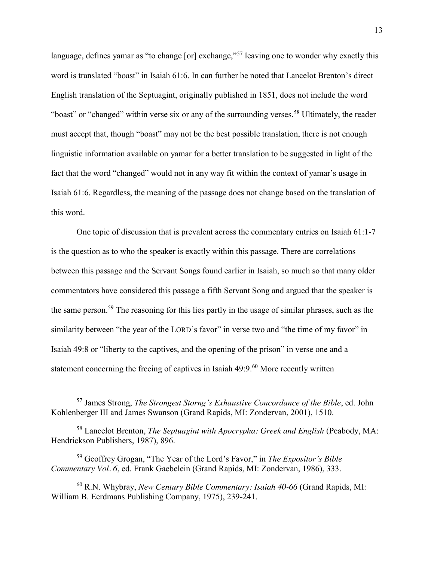language, defines yamar as "to change [or] exchange,"<sup>57</sup> leaving one to wonder why exactly this word is translated "boast" in Isaiah 61:6. In can further be noted that Lancelot Brenton's direct English translation of the Septuagint, originally published in 1851, does not include the word "boast" or "changed" within verse six or any of the surrounding verses.<sup>58</sup> Ultimately, the reader must accept that, though "boast" may not be the best possible translation, there is not enough linguistic information available on yamar for a better translation to be suggested in light of the fact that the word "changed" would not in any way fit within the context of yamar's usage in Isaiah 61:6. Regardless, the meaning of the passage does not change based on the translation of this word.

One topic of discussion that is prevalent across the commentary entries on Isaiah 61:1-7 is the question as to who the speaker is exactly within this passage. There are correlations between this passage and the Servant Songs found earlier in Isaiah, so much so that many older commentators have considered this passage a fifth Servant Song and argued that the speaker is the same person.<sup>59</sup> The reasoning for this lies partly in the usage of similar phrases, such as the similarity between "the year of the LORD's favor" in verse two and "the time of my favor" in Isaiah 49:8 or "liberty to the captives, and the opening of the prison" in verse one and a statement concerning the freeing of captives in Isaiah  $49:9.^{60}$  More recently written

 $\overline{\phantom{a}}$ 

<sup>57</sup> James Strong, *The Strongest Storng's Exhaustive Concordance of the Bible*, ed. John Kohlenberger III and James Swanson (Grand Rapids, MI: Zondervan, 2001), 1510.

<sup>58</sup> Lancelot Brenton, *The Septuagint with Apocrypha: Greek and English* (Peabody, MA: Hendrickson Publishers, 1987), 896.

<sup>59</sup> Geoffrey Grogan, "The Year of the Lord's Favor," in *The Expositor's Bible Commentary Vol. 6*, ed. Frank Gaebelein (Grand Rapids, MI: Zondervan, 1986), 333.

<sup>60</sup> R.N. Whybray, *New Century Bible Commentary: Isaiah 40-66* (Grand Rapids, MI: William B. Eerdmans Publishing Company, 1975), 239-241.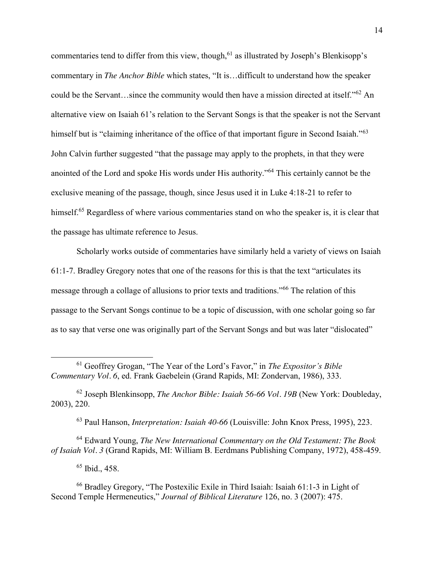commentaries tend to differ from this view, though,<sup>61</sup> as illustrated by Joseph's Blenkisopp's commentary in *The Anchor Bible* which states, "It is…difficult to understand how the speaker could be the Servant…since the community would then have a mission directed at itself."<sup>62</sup> An alternative view on Isaiah 61's relation to the Servant Songs is that the speaker is not the Servant himself but is "claiming inheritance of the office of that important figure in Second Isaiah."<sup>63</sup> John Calvin further suggested "that the passage may apply to the prophets, in that they were anointed of the Lord and spoke His words under His authority."<sup>64</sup> This certainly cannot be the exclusive meaning of the passage, though, since Jesus used it in Luke 4:18-21 to refer to himself.<sup>65</sup> Regardless of where various commentaries stand on who the speaker is, it is clear that the passage has ultimate reference to Jesus.

Scholarly works outside of commentaries have similarly held a variety of views on Isaiah 61:1-7. Bradley Gregory notes that one of the reasons for this is that the text "articulates its message through a collage of allusions to prior texts and traditions."<sup>66</sup> The relation of this passage to the Servant Songs continue to be a topic of discussion, with one scholar going so far as to say that verse one was originally part of the Servant Songs and but was later "dislocated"

<sup>62</sup> Joseph Blenkinsopp, *The Anchor Bible: Isaiah 56-66 Vol. 19B* (New York: Doubleday, 2003), 220.

<sup>63</sup> Paul Hanson, *Interpretation: Isaiah 40-66* (Louisville: John Knox Press, 1995), 223.

<sup>64</sup> Edward Young, *The New International Commentary on the Old Testament: The Book of Isaiah Vol. 3* (Grand Rapids, MI: William B. Eerdmans Publishing Company, 1972), 458-459.

<sup>65</sup> Ibid., 458.

 $\overline{a}$ 

<sup>61</sup> Geoffrey Grogan, "The Year of the Lord's Favor," in *The Expositor's Bible Commentary Vol. 6*, ed. Frank Gaebelein (Grand Rapids, MI: Zondervan, 1986), 333.

<sup>66</sup> Bradley Gregory, "The Postexilic Exile in Third Isaiah: Isaiah 61:1-3 in Light of Second Temple Hermeneutics," *Journal of Biblical Literature* 126, no. 3 (2007): 475.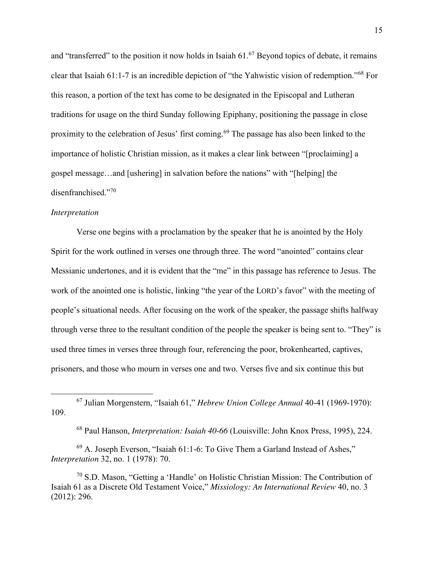and "transferred" to the position it now holds in Isaiah  $61.67$  Beyond topics of debate, it remains clear that Isaiah 61:1-7 is an incredible depiction of "the Yahwistic vision of redemption."<sup>68</sup> For this reason, a portion of the text has come to be designated in the Episcopal and Lutheran traditions for usage on the third Sunday following Epiphany, positioning the passage in close proximity to the celebration of Jesus' first coming.<sup>69</sup> The passage has also been linked to the importance of holistic Christian mission, as it makes a clear link between "[proclaiming] a gospel message…and [ushering] in salvation before the nations" with "[helping] the disenfranchised."<sup>70</sup>

### *Interpretation*

 $\overline{\phantom{a}}$ 

Verse one begins with a proclamation by the speaker that he is anointed by the Holy Spirit for the work outlined in verses one through three. The word "anointed" contains clear Messianic undertones, and it is evident that the "me" in this passage has reference to Jesus. The work of the anointed one is holistic, linking "the year of the LORD's favor" with the meeting of people's situational needs. After focusing on the work of the speaker, the passage shifts halfway through verse three to the resultant condition of the people the speaker is being sent to. "They" is used three times in verses three through four, referencing the poor, brokenhearted, captives, prisoners, and those who mourn in verses one and two. Verses five and six continue this but

<sup>67</sup> Julian Morgenstern, "Isaiah 61," *Hebrew Union College Annual* 40-41 (1969-1970): 109.

<sup>68</sup> Paul Hanson, *Interpretation: Isaiah 40-66* (Louisville: John Knox Press, 1995), 224.

<sup>69</sup> A. Joseph Everson, "Isaiah 61:1-6: To Give Them a Garland Instead of Ashes," *Interpretation* 32, no. 1 (1978): 70.

<sup>70</sup> S.D. Mason, "Getting a 'Handle' on Holistic Christian Mission: The Contribution of Isaiah 61 as a Discrete Old Testament Voice," *Missiology: An International Review* 40, no. 3 (2012): 296.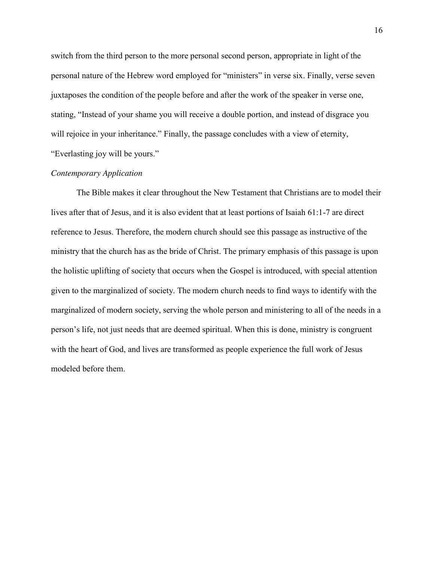switch from the third person to the more personal second person, appropriate in light of the personal nature of the Hebrew word employed for "ministers" in verse six. Finally, verse seven juxtaposes the condition of the people before and after the work of the speaker in verse one, stating, "Instead of your shame you will receive a double portion, and instead of disgrace you will rejoice in your inheritance." Finally, the passage concludes with a view of eternity, "Everlasting joy will be yours."

# *Contemporary Application*

The Bible makes it clear throughout the New Testament that Christians are to model their lives after that of Jesus, and it is also evident that at least portions of Isaiah 61:1-7 are direct reference to Jesus. Therefore, the modern church should see this passage as instructive of the ministry that the church has as the bride of Christ. The primary emphasis of this passage is upon the holistic uplifting of society that occurs when the Gospel is introduced, with special attention given to the marginalized of society. The modern church needs to find ways to identify with the marginalized of modern society, serving the whole person and ministering to all of the needs in a person's life, not just needs that are deemed spiritual. When this is done, ministry is congruent with the heart of God, and lives are transformed as people experience the full work of Jesus modeled before them.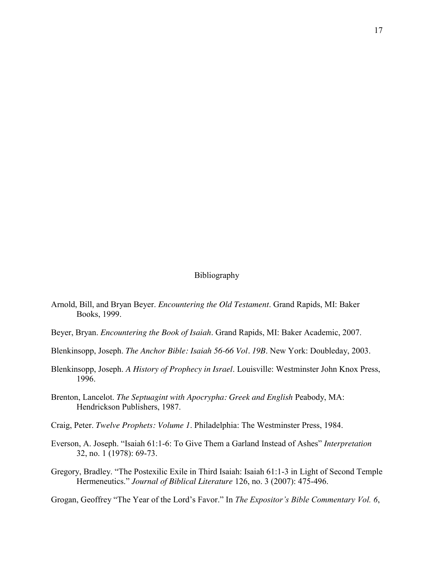# Bibliography

- Arnold, Bill, and Bryan Beyer. *Encountering the Old Testament*. Grand Rapids, MI: Baker Books, 1999.
- Beyer, Bryan. *Encountering the Book of Isaiah*. Grand Rapids, MI: Baker Academic, 2007.
- Blenkinsopp, Joseph. *The Anchor Bible: Isaiah 56-66 Vol. 19B*. New York: Doubleday, 2003.
- Blenkinsopp, Joseph. *A History of Prophecy in Israel*. Louisville: Westminster John Knox Press, 1996.
- Brenton, Lancelot. *The Septuagint with Apocrypha: Greek and English* Peabody, MA: Hendrickson Publishers, 1987.
- Craig, Peter. *Twelve Prophets: Volume 1*. Philadelphia: The Westminster Press, 1984.
- Everson, A. Joseph. "Isaiah 61:1-6: To Give Them a Garland Instead of Ashes" *Interpretation* 32, no. 1 (1978): 69-73.
- Gregory, Bradley. "The Postexilic Exile in Third Isaiah: Isaiah 61:1-3 in Light of Second Temple Hermeneutics." *Journal of Biblical Literature* 126, no. 3 (2007): 475-496.

Grogan, Geoffrey "The Year of the Lord's Favor." In *The Expositor's Bible Commentary Vol. 6*,